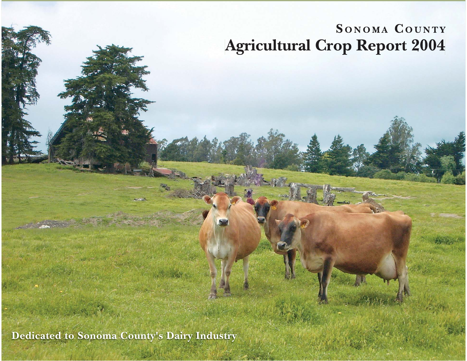# SONOMA COUNTY **Agricultural Crop Report 2004**

**Dedicated to Sonoma County's Dairy Industry**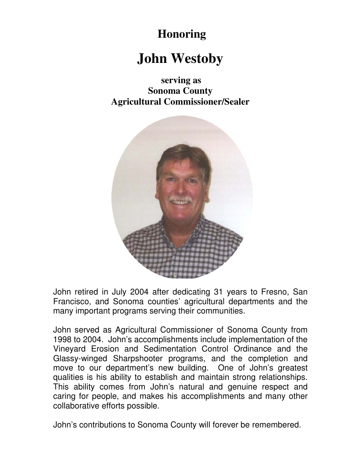#### **Honoring**

# **John Westoby**

**serving as Sonoma County Agricultural Commissioner/Sealer** 



John retired in July 2004 after dedicating 31 years to Fresno, San Francisco, and Sonoma counties' agricultural departments and the many important programs serving their communities.

John served as Agricultural Commissioner of Sonoma County from 1998 to 2004. John's accomplishments include implementation of the Vineyard Erosion and Sedimentation Control Ordinance and the Glassy-winged Sharpshooter programs, and the completion and move to our department's new building. One of John's greatest qualities is his ability to establish and maintain strong relationships. This ability comes from John's natural and genuine respect and caring for people, and makes his accomplishments and many other collaborative efforts possible.

John's contributions to Sonoma County will forever be remembered.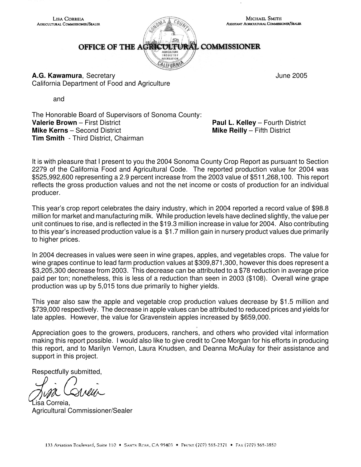OFFICE OF THE AGRICULTURAL COMMISSIONER

INDUSTRY **SECREATION** ALIFORN

**A.G. Kawamura**, Secretary **June 2005 A.G. Kawamura**, Secretary California Department of Food and Agriculture

and

The Honorable Board of Supervisors of Sonoma County: **Valerie Brown** – First District **Paul L. Kelley** – Fourth District **Mike Kerns** – Second District **Mike Reilly** – Fifth District **Tim Smith** - Third District, Chairman

It is with pleasure that I present to you the 2004 Sonoma County Crop Report as pursuant to Section 2279 of the California Food and Agricultural Code. The reported production value for 2004 was \$525,992,600 representing a 2.9 percent increase from the 2003 value of \$511,268,100. This report reflects the gross production values and not the net income or costs of production for an individual producer.

This year's crop report celebrates the dairy industry, which in 2004 reported a record value of \$98.8 million for market and manufacturing milk. While production levels have declined slightly, the value per unit continues to rise, and is reflected in the \$19.3 million increase in value for 2004. Also contributing to this year's increased production value is a \$1.7 million gain in nursery product values due primarily to higher prices.

In 2004 decreases in values were seen in wine grapes, apples, and vegetables crops. The value for wine grapes continue to lead farm production values at \$309,871,300, however this does represent a \$3,205,300 decrease from 2003. This decrease can be attributed to a \$78 reduction in average price paid per ton; nonetheless, this is less of a reduction than seen in 2003 (\$108). Overall wine grape production was up by 5,015 tons due primarily to higher yields.

This year also saw the apple and vegetable crop production values decrease by \$1.5 million and \$739,000 respectively. The decrease in apple values can be attributed to reduced prices and yields for late apples. However, the value for Gravenstein apples increased by \$659,000.

Appreciation goes to the growers, producers, ranchers, and others who provided vital information making this report possible. I would also like to give credit to Cree Morgan for his efforts in producing this report, and to Marilyn Vernon, Laura Knudsen, and Deanna McAulay for their assistance and support in this project.

Respectfully submitted,

Lisa Correia, Agricultural Commissioner/Sealer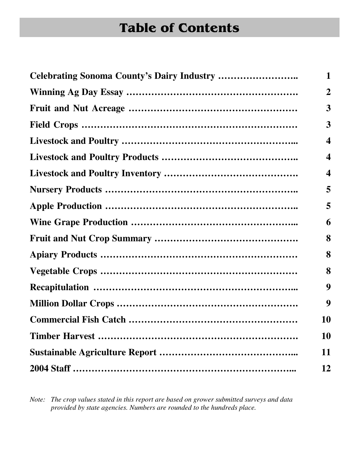# Table of Contents

| <b>Celebrating Sonoma County's Dairy Industry </b> | 1                |
|----------------------------------------------------|------------------|
|                                                    | $\boldsymbol{2}$ |
|                                                    | 3                |
|                                                    | 3                |
|                                                    | 4                |
|                                                    | 4                |
|                                                    | 4                |
|                                                    | 5                |
|                                                    | 5                |
|                                                    | 6                |
|                                                    | 8                |
|                                                    | 8                |
|                                                    | 8                |
|                                                    | 9                |
|                                                    | 9                |
|                                                    | <b>10</b>        |
|                                                    | <b>10</b>        |
|                                                    | 11               |
|                                                    | 12               |

*Note: The crop values stated in this report are based on grower submitted surveys and data provided by state agencies. Numbers are rounded to the hundreds place.*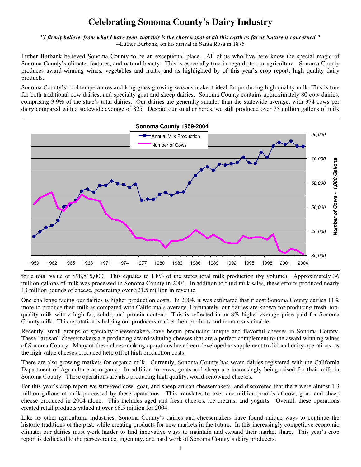#### **Celebrating Sonoma County's Dairy Industry**

*"I firmly believe, from what I have seen, that this is the chosen spot of all this earth as far as Nature is concerned." --*Luther Burbank, on his arrival in Santa Rosa in 1875

Luther Burbank believed Sonoma County to be an exceptional place. All of us who live here know the special magic of Sonoma County's climate, features, and natural beauty. This is especially true in regards to our agriculture. Sonoma County produces award-winning wines, vegetables and fruits, and as highlighted by of this year's crop report, high quality dairy products.

Sonoma County's cool temperatures and long grass-growing seasons make it ideal for producing high quality milk. This is true for both traditional cow dairies, and specialty goat and sheep dairies. Sonoma County contains approximately 80 cow dairies, comprising 3.9% of the state's total dairies. Our dairies are generally smaller than the statewide average, with 374 cows per dairy compared with a statewide average of 825. Despite our smaller herds, we still produced over 75 million gallons of milk



for a total value of \$98,815,000*.* This equates to 1.8% of the states total milk production (by volume). Approximately 36 million gallons of milk was processed in Sonoma County in 2004. In addition to fluid milk sales, these efforts produced nearly 13 million pounds of cheese, generating over \$21.5 million in revenue.

One challenge facing our dairies is higher production costs. In 2004, it was estimated that it cost Sonoma County dairies 11% more to produce their milk as compared with California's average. Fortunately, our dairies are known for producing fresh, topquality milk with a high fat, solids, and protein content. This is reflected in an 8% higher average price paid for Sonoma County milk. This reputation is helping our producers market their products and remain sustainable.

Recently, small groups of specialty cheesemakers have begun producing unique and flavorful cheeses in Sonoma County. These "artisan" cheesemakers are producing award-winning cheeses that are a perfect complement to the award winning wines of Sonoma County. Many of these cheesemaking operations have been developed to supplement traditional dairy operations, as the high value cheeses produced help offset high production costs.

There are also growing markets for organic milk. Currently, Sonoma County has seven dairies registered with the California Department of Agriculture as organic. In addition to cows, goats and sheep are increasingly being raised for their milk in Sonoma County. These operations are also producing high quality, world-renowned cheeses.

For this year's crop report we surveyed cow, goat, and sheep artisan cheesemakers, and discovered that there were almost 1.3 million gallons of milk processed by these operations. This translates to over one million pounds of cow, goat, and sheep cheese produced in 2004 alone. This includes aged and fresh cheeses, ice creams, and yogurts. Overall, these operations created retail products valued at over \$8.5 million for 2004.

Like its other agricultural industries, Sonoma County's dairies and cheesemakers have found unique ways to continue the historic traditions of the past, while creating products for new markets in the future. In this increasingly competitive economic climate, our dairies must work harder to find innovative ways to maintain and expand their market share. This year's crop report is dedicated to the perseverance, ingenuity, and hard work of Sonoma County's dairy producers.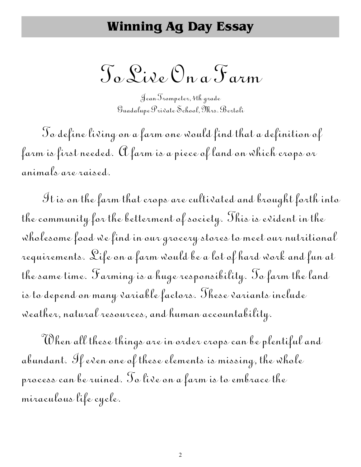#### Winning Ag Day Essay

To Live On a Farm

Jean Trompeter, 4th grade Guadalupe Private School, Mrs. Bertoli

 $\mathcal S$ o define living on a farm one would find that a definition of farm is first needed.  $\mathfrak A$  farm is a piece of land on which crops or animals are raised.

It is on the farm that crops are cultivated and brought forth into the community for the betterment of society. This is evident in the wholesome food we find in our grocery stores to meet our nutritional requirements. Life on a farm would be a lot of hard work and fun at the same time. Farming is a huge responsibility. To farm the land is to depend on many variable factors. These variants include weather, natural resources, and human accountability.

When all these things are in order crops can be plentiful and abundant. If even one of these elements is missing, the whole process can be ruined. To live on a farm is to embrace the miraculous life cycle.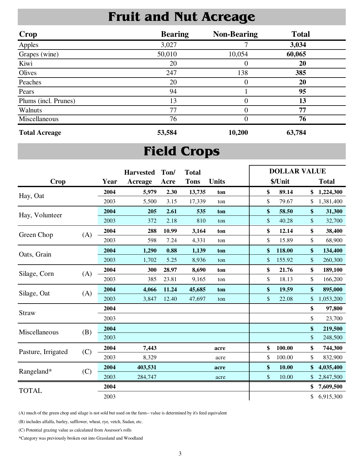### Fruit and Nut Acreage

| <b>Crop</b>          | <b>Bearing</b> | <b>Non-Bearing</b> | <b>Total</b> |  |
|----------------------|----------------|--------------------|--------------|--|
| Apples               | 3,027          |                    | 3,034        |  |
| Grapes (wine)        | 50,010         | 10,054             | 60,065       |  |
| Kiwi                 | 20             | 0                  | 20           |  |
| Olives               | 247            | 138                | 385          |  |
| Peaches              | 20             | 0                  | 20           |  |
| Pears                | 94             |                    | 95           |  |
| Plums (incl. Prunes) | 13             | 0                  | 13           |  |
| Walnuts              | 77             | 0                  | 77           |  |
| Miscellaneous        | 76             | 0                  | 76           |  |
| <b>Total Acreage</b> | 53,584         | 10,200             | 63,784       |  |

## Field Crops

|                     |     |      | <b>Harvested</b> | Ton/  | <b>Total</b> |              | <b>DOLLAR VALUE</b> |                 |
|---------------------|-----|------|------------------|-------|--------------|--------------|---------------------|-----------------|
| <b>Crop</b>         |     | Year | Acreage          | Acre  | <b>Tons</b>  | <b>Units</b> | \$/Unit             | <b>Total</b>    |
| Hay, Oat            |     | 2004 | 5,979            | 2.30  | 13,735       | ton          | \$<br>89.14         | \$<br>1,224,300 |
|                     |     | 2003 | 5,500            | 3.15  | 17,339       | ton          | \$<br>79.67         | \$<br>1,381,400 |
| Hay, Volunteer      |     | 2004 | 205              | 2.61  | 535          | ton          | \$<br>58.50         | \$<br>31,300    |
|                     |     | 2003 | 372              | 2.18  | 810          | ton          | \$<br>40.28         | \$<br>32,700    |
| Green Chop          | (A) | 2004 | 288              | 10.99 | 3,164        | ton          | \$<br>12.14         | \$<br>38,400    |
|                     |     | 2003 | 598              | 7.24  | 4,331        | ton          | \$<br>15.89         | \$<br>68,900    |
| Oats, Grain         |     | 2004 | 1,290            | 0.88  | 1,139        | ton          | \$<br>118.00        | \$<br>134,400   |
|                     |     | 2003 | 1,702            | 5.25  | 8,936        | ton          | \$<br>155.92        | \$<br>260,300   |
| (A)<br>Silage, Corn |     | 2004 | 300              | 28.97 | 8,690        | ton          | \$<br>21.76         | \$<br>189,100   |
|                     |     | 2003 | 385              | 23.81 | 9,165        | ton          | \$<br>18.13         | \$<br>166,200   |
| Silage, Oat         | (A) | 2004 | 4,066            | 11.24 | 45,685       | ton          | \$<br>19.59         | \$<br>895,000   |
|                     |     | 2003 | 3,847            | 12.40 | 47,697       | ton          | \$<br>22.08         | \$<br>1,053,200 |
| <b>Straw</b>        |     | 2004 |                  |       |              |              |                     | \$<br>97,800    |
|                     |     | 2003 |                  |       |              |              |                     | \$<br>23,700    |
| Miscellaneous       | (B) | 2004 |                  |       |              |              |                     | \$<br>219,500   |
|                     |     | 2003 |                  |       |              |              |                     | \$<br>248,500   |
| Pasture, Irrigated  | (C) | 2004 | 7,443            |       |              | acre         | \$<br>100.00        | \$<br>744,300   |
|                     |     | 2003 | 8,329            |       |              | acre         | \$<br>100.00        | \$<br>832,900   |
|                     |     | 2004 | 403,531          |       |              | acre         | \$<br>10.00         | \$<br>4,035,400 |
| Rangeland*          | (C) | 2003 | 284,747          |       |              | acre         | \$<br>10.00         | \$<br>2,847,500 |
| <b>TOTAL</b>        |     | 2004 |                  |       |              |              |                     | \$<br>7,609,500 |
|                     |     | 2003 |                  |       |              |              |                     | \$<br>6,915,300 |

(A) much of the green chop and silage is not sold but used on the farm-- value is determined by it's feed equivalent

(B) includes alfalfa, barley, safflower, wheat, rye, vetch, Sudan, etc.

(C) Potential grazing value as calculated from Assessor's rolls

\*Category was previously broken out into Grassland and Woodland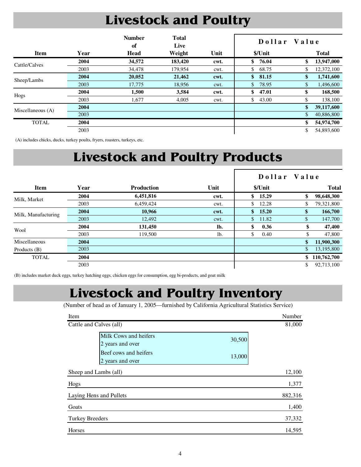# Livestock and Poultry

|                   |      | <b>Number</b><br>of | <b>Total</b><br>Live |      | Dollar Value |               |              |
|-------------------|------|---------------------|----------------------|------|--------------|---------------|--------------|
| <b>Item</b>       | Year | Head                | Weight               | Unit | \$/Unit      |               | <b>Total</b> |
| Cattle/Calves     | 2004 | 34,572              | 183,420              | cwt. | \$<br>76.04  | \$            | 13,947,000   |
|                   | 2003 | 34,478              | 179,954              | cwt. | \$<br>68.75  | \$            | 12,372,100   |
| Sheep/Lambs       | 2004 | 20,052              | 21,462               | cwt. | \$81.15      | \$            | 1,741,600    |
|                   | 2003 | 17,775              | 18,956               | cwt. | \$<br>78.95  | \$            | 1,496,600    |
| Hogs              | 2004 | 1,500               | 3,584                | cwt. | \$<br>47.01  | \$            | 168,500      |
|                   | 2003 | 1,677               | 4,005                | cwt. | \$<br>43.00  | \$            | 138,100      |
| Miscellaneous (A) | 2004 |                     |                      |      |              | $\mathbf{\$}$ | 39,117,600   |
|                   | 2003 |                     |                      |      |              | \$            | 40,886,800   |
| <b>TOTAL</b>      | 2004 |                     |                      |      |              | \$            | 54,974,700   |
|                   | 2003 |                     |                      |      |              | \$            | 54,893,600   |

(A) includes chicks, ducks, turkey poults, fryers, roasters, turkeys, etc.

# Livestock and Poultry Products

|                     |      |                   |      |                       | Dollar Value |              |
|---------------------|------|-------------------|------|-----------------------|--------------|--------------|
| <b>Item</b>         | Year | <b>Production</b> | Unit | \$/Unit               |              | <b>Total</b> |
|                     | 2004 | 6,451,816         | cwt. | \$<br>15.29           | \$           | 98,648,300   |
| Milk, Market        | 2003 | 6,459,424         | cwt. | \$<br>12.28           | \$           | 79,321,800   |
| Milk, Manufacturing | 2004 | 10,966            | cwt. | $\mathbf{s}$<br>15.20 | \$           | 166,700      |
|                     | 2003 | 12,492            | cwt. | \$<br>11.82           | \$           | 147,700      |
| Wool                | 2004 | 131,450           | lb.  | \$<br>0.36            | \$           | 47,400       |
|                     | 2003 | 119,500           | lb.  | \$<br>0.40            | \$           | 47,800       |
| Miscellaneous       | 2004 |                   |      |                       | \$           | 11,900,300   |
| Products $(B)$      | 2003 |                   |      |                       | $\mathbb{S}$ | 13,195,800   |
| <b>TOTAL</b>        | 2004 |                   |      |                       | \$           | 110,762,700  |
|                     | 2003 |                   |      |                       | \$           | 92,713,100   |

(B) includes market duck eggs, turkey hatching eggs, chicken eggs for consumption, egg bi-products, and goat milk

#### Livestock and Poultry Inventory

(Number of head as of January 1, 2005—furnished by California Agricultural Statistics Service)

| Item                   |                                                                                        | Number           |
|------------------------|----------------------------------------------------------------------------------------|------------------|
|                        | Cattle and Calves (all)                                                                | 81,000           |
|                        | Milk Cows and heifers<br>2 years and over<br>Beef cows and heifers<br>2 years and over | 30,500<br>13,000 |
|                        | Sheep and Lambs (all)                                                                  | 12,100           |
| Hogs                   |                                                                                        | 1,377            |
|                        | Laying Hens and Pullets                                                                | 882,316          |
| Goats                  |                                                                                        | 1,400            |
| <b>Turkey Breeders</b> |                                                                                        | 37,332           |
| Horses                 |                                                                                        | 14,595           |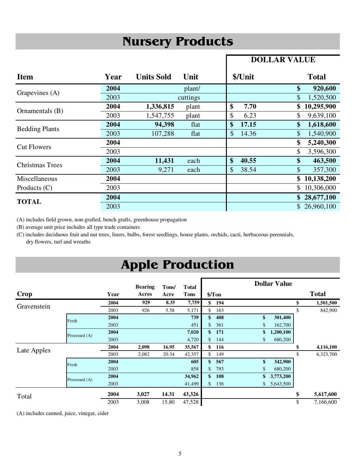### Nursery Products

#### **DOLLAR VALUE**

| <b>Item</b>            | Year | <b>Units Sold</b> | Unit     | \$/Unit     | <b>Total</b>                   |
|------------------------|------|-------------------|----------|-------------|--------------------------------|
| Grapevines (A)         | 2004 |                   | plant/   |             | \$<br>920,600                  |
|                        | 2003 |                   | cuttings |             | \$<br>1,520,500                |
| Ornamentals (B)        | 2004 | 1,336,815         | plant    | \$<br>7.70  | 10,295,900<br>\$               |
|                        | 2003 | 1,547,755         | plant    | \$<br>6.23  | 9,639,100                      |
| <b>Bedding Plants</b>  | 2004 | 94,398            | flat     | \$<br>17.15 | $\boldsymbol{\$}$<br>1,618,600 |
|                        | 2003 | 107,288           | flat     | \$<br>14.36 | 1,540,900<br>\$                |
|                        | 2004 |                   |          |             | \$<br>5,240,300                |
| <b>Cut Flowers</b>     | 2003 |                   |          |             | \$<br>3,596,300                |
| <b>Christmas Trees</b> | 2004 | 11,431            | each     | \$<br>40.55 | \$<br>463,500                  |
|                        | 2003 | 9,271             | each     | \$<br>38.54 | \$<br>357,300                  |
| Miscellaneous          | 2004 |                   |          |             | 10,138,200<br>\$               |
| Products $(C)$         | 2003 |                   |          |             | \$<br>10,306,000               |
| <b>TOTAL</b>           | 2004 |                   |          |             | 28,677,100                     |
|                        | 2003 |                   |          |             | \$26,960,100                   |

(A) includes field grown, non-grafted, bench grafts, greenhouse propagation

(B) average unit price includes all type trade containers

(C) includes deciduous fruit and nut trees, liners, bulbs, forest seedlings, house plants, orchids, cacti, herbaceous perennials, dry flowers, turf and wreaths

### Apple Production

|             |               |      | <b>Bearing</b> | Tons/ | <b>Total</b> |              |        |              | <b>Dollar Value</b> |                 |
|-------------|---------------|------|----------------|-------|--------------|--------------|--------|--------------|---------------------|-----------------|
| Crop        |               | Year | Acres          | Acre  | Tons         |              | \$/Ton |              |                     | <b>Total</b>    |
| Gravenstein |               | 2004 | 929            | 8.35  | 7,759        | \$           | 194    |              |                     | \$<br>1,501,500 |
|             |               | 2003 | 926            | 5.58  | 5,171        | \$           | 163    |              |                     | \$<br>842,900   |
|             | Fresh         | 2004 |                |       | 739          | \$           | 408    | \$           | 301,400             |                 |
|             |               | 2003 |                |       | 451          | \$           | 361    | \$           | 162,700             |                 |
|             | Processed (A) | 2004 |                |       | 7,020        | \$           | 171    | \$           | 1,200,100           |                 |
|             |               | 2003 |                |       | 4,720        | \$           | 144    | \$           | 680,200             |                 |
| Late Apples |               | 2004 | 2,098          | 16.95 | 35,567       | \$           | 116    |              |                     | \$<br>4,116,100 |
|             |               | 2003 | 2,082          | 20.34 | 42,357       | \$           | 149    |              |                     | \$<br>6,323,700 |
|             | Fresh         | 2004 |                |       | 605          | \$           | 567    | \$           | 342,900             |                 |
|             |               | 2003 |                |       | 858          | \$           | 793    | \$           | 680,200             |                 |
|             | Processed (A) | 2004 |                |       | 34,962       | \$           | 108    | \$           | 3,773,200           |                 |
|             |               | 2003 |                |       | 41,499       | $\mathbb{S}$ | 136    | $\mathbb{S}$ | 5,643,500           |                 |
| Total       |               | 2004 | 3,027          | 14.31 | 43,326       |              |        |              |                     | \$<br>5,617,600 |
|             |               | 2003 | 3,008          | 15.80 | 47,528       |              |        |              |                     | \$<br>7,166,600 |

(A) includes canned, juice, vinegar, cider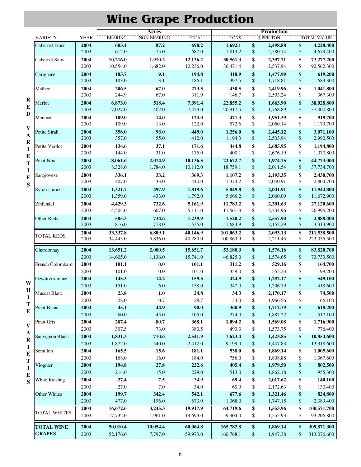# Wine Grape Production

|                               |                       |              |                      | <b>Acres</b>       |                      |                        |                 | <b>Production</b>    |                         |                            |
|-------------------------------|-----------------------|--------------|----------------------|--------------------|----------------------|------------------------|-----------------|----------------------|-------------------------|----------------------------|
|                               | <b>VARIETY</b>        | <b>YEAR</b>  | <b>BEARING</b>       | NON-BEARING        | <b>TOTAL</b>         | <b>TONS</b>            |                 | \$ PER TON           |                         | TOTAL VALUE                |
|                               | Cabernet Franc        | 2004<br>2003 | 603.1<br>612.0       | 87.2<br>75.0       | 690.2<br>687.0       | 1,692.1<br>1,813.2     | \$<br>$\$$      | 2,498.88<br>2,580.74 | \$<br>\$                | 4,228,400<br>4,679,400     |
|                               | Cabernet Sauv.        | 2004<br>2003 | 10,216.0<br>10,554.0 | 1,910.2<br>1,682.0 | 12,126.2<br>12,236.0 | 30,561.3<br>36,471.4   | \$<br>\$        | 2,397.71<br>2,537.94 | \$<br>\$                | 73,277,200<br>92,562,300   |
|                               | Carignane             | 2004<br>2003 | 185.7<br>183.0       | 9.1<br>3.1         | 194.8<br>186.1       | 418.9<br>397.5         | \$<br>$\$$      | 1,477.99<br>1,718.81 | \$<br>\$                | 619,200<br>683,300         |
|                               | Malbec                | 2004<br>2003 | 206.5<br>244.9       | 67.0<br>67.0       | 273.5<br>311.9       | 430.5<br>146.7         | \$<br>\$        | 2,419.96<br>2,503.24 | \$<br>\$                | 1,041,800<br>367,300       |
| $\bf R$<br>${\bf E}$          | Merlot                | 2004<br>2003 | 6,873.0<br>7,027.0   | 518.4<br>402.0     | 7,391.4<br>7,429.0   | 22,855.2<br>20,917.5   | \$<br>$\$$      | 1,663.90<br>1,768.89 | \$<br>$\$$              | 38,028,800<br>37,000,800   |
| $\mathbf D$                   | Meunier               | 2004<br>2003 | 109.0<br>109.0       | 14.0<br>13.0       | 123.0<br>122.0       | 471.3<br>572.6         | \$<br>\$        | 1,951.39<br>2,060.14 | \$<br>\$                | 919,700<br>1,179,700       |
| $\mathbf{V}$<br>$\mathbf{A}$  | Petite Sirah          | 2004<br>2003 | 356.0<br>357.0       | 93.0<br>55.0       | 449.0<br>412.0       | 1,256.0<br>1,194.3     | \$<br>$\$$      | 2,445.12<br>2,503.94 | \$<br>\$                | 3,071,100<br>2,990,500     |
| $\bf{R}$<br>$\mathbf I$       | Petite Verdot         | 2004<br>2003 | 134.6<br>144.0       | 37.1<br>31.0       | 171.6<br>175.0       | 444.8<br>400.1         | \$<br>\$        | 2,685.95<br>2,676.19 | \$<br>\$                | 1,194,800<br>1,070,800     |
| ${\bf E}$<br>T<br>$\mathbf I$ | <b>Pinot Noir</b>     | 2004<br>2003 | 8,061.6<br>8,328.0   | 2,074.9<br>1,784.0 | 10,136.5<br>10,112.0 | 22,672.7<br>18,759.1   | \$<br>$\$$      | 1,974.75<br>2,011.54 | \$<br>$\$$              | 44,773,000<br>37,734,700   |
| $\bf{E}$<br>S                 | Sangiovese            | 2004<br>2003 | 336.1<br>407.0       | 33.2<br>33.0       | 369.3<br>440.0       | 1,107.2<br>1,374.2     | \$<br>\$        | 2,195.35<br>2,040.91 | \$<br>\$                | 2,430,700<br>2,804,700     |
|                               | Syrah-shiraz          | 2004<br>2003 | 1,321.7<br>1,359.0   | 497.9<br>433.0     | 1,819.6<br>1,792.0   | 5,849.8<br>5,666.2     | \$<br>\$        | 2,041.91<br>2,060.09 | \$<br>\$                | 11,944,800<br>11,672,900   |
|                               | Zinfandel             | 2004<br>2003 | 4,429.3<br>4,504.0   | 732.6<br>607.0     | 5,161.9<br>5,111.0   | 11,783.2<br>11,561.3   | \$<br>\$        | 2,301.63<br>2,334.96 | \$<br>\$                | 27,120,600<br>26,995,200   |
|                               | Other Reds            | 2004<br>2003 | 505.3<br>816.0       | 734.6<br>718.0     | 1,239.9<br>1,535.0   | 1,520.2<br>1,684.9     | \$<br>\$        | 2,557.90<br>2,152.29 | \$<br>\$                | 2,888,400<br>3,313,900     |
|                               | <b>TOTAL REDS</b>     | 2004<br>2003 | 33,337.8<br>34,443.0 | 6,809.1<br>5,836.0 | 40,146.9<br>40,280.0 | 101,063.2<br>100,863.9 | \$<br>\$        | 2,093.13<br>2,211.45 | \$<br>\$                | 211,538,500<br>223,055,500 |
|                               | Chardonnay            | 2004         | 13,651.2             | 2,000.5            | 15,651.7             | 53,180.3               | \$              | 1,576.16             | \$                      | 83,820,700                 |
|                               |                       | 2003         | 14,605.0             | 1,136.0            | 15,741.0             | 46,825.0               | \$              | 1,574.65             | $\$$                    | 73,733,500                 |
|                               | French Colombard      | 2004<br>2003 | 101.1<br>101.0       | 0.0<br>0.0         | 101.1<br>101.0       | 311.2<br>359.0         | \$<br>\$        | 529.16<br>555.23     | \$<br>\$                | 164,700<br>199,200         |
|                               | Gewürztraminer        | 2004         | 145.3                | 14.2               | 159.5                | 424.9                  | \$              | 1,292.17             | \$                      | 549,100                    |
| W                             |                       | 2003         | 151.0                | 6.0                | 158.0                | 347.0                  | \$              | 1,206.79             | \$                      | 418,600                    |
| $\bf H$                       | <b>Muscat Blanc</b>   | 2004         | 23.8                 | 1.0                | 24.8                 | 34.3                   | \$              | 2,170.17             | \$                      | 74,500                     |
| I<br>T                        |                       | 2003         | 28.0                 | 0.7                | 28.7                 | 34.0                   | \$              | 1,966.56             | \$                      | 66,100                     |
| ${\bf E}$                     | <b>Pinot Blanc</b>    | 2004<br>2003 | 45.1<br>$60.0\,$     | 44.9<br>45.0       | 90.0<br>105.0        | 360.9<br>274.0         | \$<br>\$        | 1,712.79<br>1,887.22 | \$<br>$\boldsymbol{\$}$ | 618,200<br>517,100         |
| $\mathbf{V}$                  | <b>Pinot Gris</b>     | 2004         | 287.4                | 80.7               | 368.1                | 1,094.2                | \$              | 1,569.08             | \$                      | 1,716,900                  |
| A                             |                       | 2003         | 307.5                | 73.0               | 380.5                | 493.3                  | \$              | 1,573.75             | \$                      | 776,400                    |
| $\mathbf R$                   | Sauvignon Blanc       | 2004         | 1,831.3              | 710.6              | 2,541.9              | 7,623.4                | \$              | 1,423.85             | \$                      | 10,854,600                 |
| $\mathbf I$                   | Semillon              | 2003<br>2004 | 1,872.0<br>165.5     | 540.0<br>15.6      | 2,412.0<br>181.1     | 9,199.0<br>538.0       | $\$$<br>\$      | 1,447.83<br>1,869.14 | $\boldsymbol{\$}$<br>\$ | 13,318,600<br>1,005,600    |
| $\bf{E}$                      |                       | 2003         | 168.0                | 16.0               | 184.0                | 756.0                  | \$              | 1,808.88             | \$                      | 1,367,600                  |
| T<br>$\mathbf I$              | Viognier              | 2004         | 194.8                | 27.8               | 222.6                | 405.4                  | \$              | 1,979.50             | \$                      | 802,500                    |
| E                             |                       | 2003         | 214.0                | 15.0               | 229.0                | 513.0                  | \$              | 1,862.18             | \$                      | 955,300                    |
| S                             | <b>White Riesling</b> | 2004         | 27.4                 | 7.5                | 34.9                 | 69.4                   | \$              | 2,017.62             | \$                      | 140,100                    |
|                               |                       | 2003         | 27.0                 | 7.0                | 34.0                 | 60.0                   | \$              | 2,172.63             | \$                      | 130,400                    |
|                               | Other Whites          | 2004<br>2003 | 199.7<br>477.0       | 342.4<br>196.0     | 542.1<br>673.0       | 677.6<br>1,368.0       | \$<br>\$        | 1,321.46<br>1,747.15 | \$<br>$\$$              | 824,800<br>2,389,400       |
|                               |                       | 2004         | 16,672.6             | 3,245.3            | 19,917.9             | 64,719.6               | $\overline{\$}$ | 1,553.96             | \$                      | 100,571,700                |
|                               | TOTAL WHITES          | 2003         | 17,732.0             | 1,961.0            | 19,693.0             | 59,904.0               | \$              | 1,555.93             | \$                      | 93,206,800                 |
|                               | <b>TOTAL WINE</b>     | 2004         | 50,010.4             | 10,054.4           | 60,064.8             | 165,782.8              | \$              | 1,869.14             | \$                      | 309,871,300                |
|                               | <b>GRAPES</b>         | 2003         | 52,176.0             | 7,797.0            | 59,973.0             | 160,768.1              | \$              | 1,947.38             | \$                      | 313,076,600                |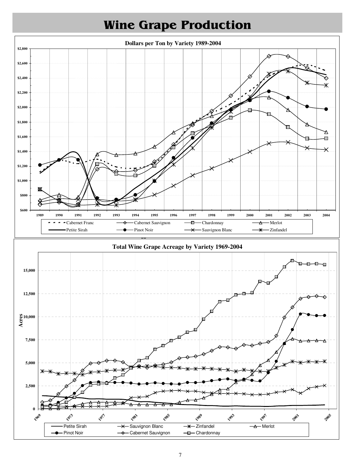

## Wine Grape Production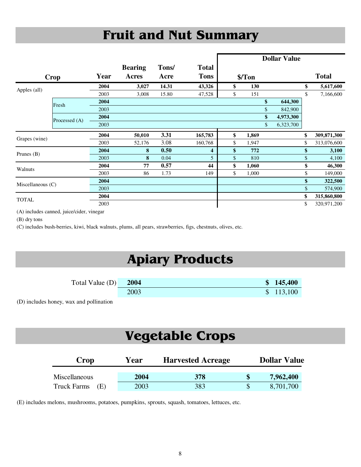# Fruit and Nut Summary

|                     |               |      |                |       |              |                  | <b>Dollar Value</b> |                   |
|---------------------|---------------|------|----------------|-------|--------------|------------------|---------------------|-------------------|
|                     |               |      | <b>Bearing</b> | Tons/ | <b>Total</b> |                  |                     |                   |
| <b>Crop</b>         |               | Year | Acres          | Acre  | <b>Tons</b>  | \$/ Ton          |                     | <b>Total</b>      |
| Apples (all)        |               | 2004 | 3,027          | 14.31 | 43,326       | \$<br><b>130</b> |                     | \$<br>5,617,600   |
|                     |               | 2003 | 3,008          | 15.80 | 47,528       | \$<br>151        |                     | \$<br>7,166,600   |
|                     | Fresh         | 2004 |                |       |              |                  | \$<br>644,300       |                   |
|                     |               | 2003 |                |       |              |                  | 842,900             |                   |
|                     | Processed (A) | 2004 |                |       |              |                  | \$<br>4,973,300     |                   |
|                     |               | 2003 |                |       |              |                  | \$<br>6,323,700     |                   |
| Grapes (wine)       |               | 2004 | 50,010         | 3.31  | 165,783      | \$<br>1,869      |                     | \$<br>309,871,300 |
|                     |               | 2003 | 52,176         | 3.08  | 160,768      | \$<br>1,947      |                     | \$<br>313,076,600 |
| Prunes $(B)$        |               | 2004 | 8              | 0.50  | 4            | \$<br>772        |                     | \$<br>3,100       |
|                     |               | 2003 | 8              | 0.04  | 5            | \$<br>810        |                     | \$<br>4,100       |
| Walnuts             |               | 2004 | 77             | 0.57  | 44           | \$<br>1,060      |                     | \$<br>46,300      |
|                     |               | 2003 | 86             | 1.73  | 149          | \$<br>1,000      |                     | \$<br>149,000     |
| Miscellaneous $(C)$ |               | 2004 |                |       |              |                  |                     | \$<br>322,500     |
|                     |               | 2003 |                |       |              |                  |                     | \$<br>574,900     |
|                     |               | 2004 |                |       |              |                  |                     | \$<br>315,860,800 |
| <b>TOTAL</b>        |               | 2003 |                |       |              |                  |                     | \$<br>320,971,200 |

(A) includes canned, juice/cider, vinegar

(B) dry tons

(C) includes bush-berries, kiwi, black walnuts, plums, all pears, strawberries, figs, chestnuts, olives, etc.

## Apiary Products

| Total Value $(D)$ | 2004 | \$145,400 |
|-------------------|------|-----------|
|                   | 2003 | \$113,100 |

(D) includes honey, wax and pollination

#### Vegetable Crops

| Crop                      | Year | <b>Harvested Acreage</b> | <b>Dollar Value</b> |           |  |  |  |
|---------------------------|------|--------------------------|---------------------|-----------|--|--|--|
| <b>Miscellaneous</b>      | 2004 | 378                      |                     | 7,962,400 |  |  |  |
| <b>Truck Farms</b><br>(E) | 2003 | 383                      |                     | 8,701,700 |  |  |  |

(E) includes melons, mushrooms, potatoes, pumpkins, sprouts, squash, tomatoes, lettuces, etc.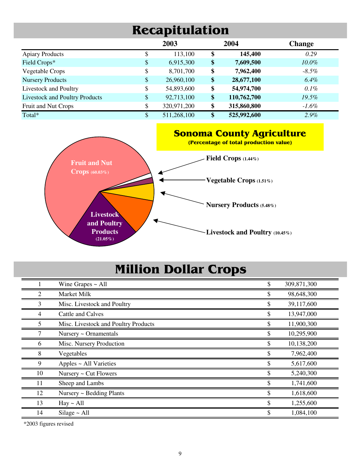### Recapitulation

|                                       | 2003              | 2004              | <b>Change</b> |
|---------------------------------------|-------------------|-------------------|---------------|
| <b>Apiary Products</b>                | \$<br>113,100     | \$<br>145,400     | 0.29          |
| Field Crops*                          | \$<br>6,915,300   | \$<br>7,609,500   | $10.0\%$      |
| Vegetable Crops                       | \$<br>8,701,700   | \$<br>7,962,400   | $-8.5\%$      |
| <b>Nursery Products</b>               | \$<br>26,960,100  | \$<br>28,677,100  | 6.4%          |
| Livestock and Poultry                 | \$<br>54,893,600  | \$<br>54,974,700  | $0.1\%$       |
| <b>Livestock and Poultry Products</b> | \$<br>92,713,100  | \$<br>110,762,700 | 19.5%         |
| Fruit and Nut Crops                   | \$<br>320,971,200 | \$<br>315,860,800 | $-1.6\%$      |
| Total*                                | \$<br>511,268,100 | \$<br>525,992,600 | $2.9\%$       |



### Million Dollar Crops

|    | Wine Grapes $\sim$ All               | 309,871,300 |
|----|--------------------------------------|-------------|
| 2  | Market Milk                          | 98,648,300  |
| 3  | Misc. Livestock and Poultry          | 39,117,600  |
| 4  | Cattle and Calves                    | 13,947,000  |
| 5  | Misc. Livestock and Poultry Products | 11,900,300  |
|    | Nursery $\sim$ Ornamentals           | 10,295,900  |
| 6  | Misc. Nursery Production             | 10,138,200  |
| 8  | Vegetables                           | 7,962,400   |
| 9  | Apples ~ All Varieties               | 5,617,600   |
| 10 | Nursery ~ Cut Flowers                | 5,240,300   |
| 11 | Sheep and Lambs                      | 1,741,600   |
| 12 | Nursery ~ Bedding Plants             | 1,618,600   |
| 13 | Hay ~ All                            | 1,255,600   |
| 14 | Silage $\sim$ All                    | 1,084,100   |

\*2003 figures revised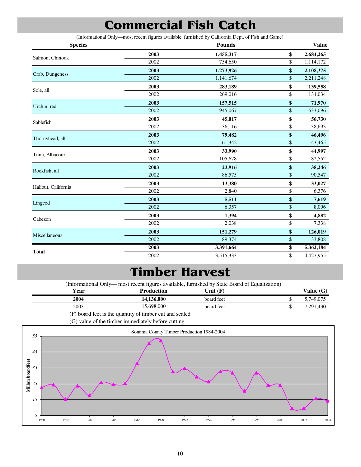### Commercial Fish Catch

(Informational Only—most recent figures available, furnished by California Dept. of Fish and Game)

| <b>Species</b>      |      | <b>Pounds</b> | <b>Value</b>    |
|---------------------|------|---------------|-----------------|
|                     | 2003 | 1,455,317     | \$<br>2,684,265 |
| Salmon, Chinook     | 2002 | 754,650       | \$<br>1,114,172 |
| Crab, Dungeness     | 2003 | 1,273,926     | \$<br>2,108,375 |
|                     | 2002 | 1,141,674     | \$<br>2,211,248 |
| Sole, all           | 2003 | 283,189       | \$<br>139,558   |
|                     | 2002 | 269,016       | \$<br>134,034   |
| Urchin, red         | 2003 | 157,515       | \$<br>71,970    |
|                     | 2002 | 945,067       | \$<br>533,096   |
| Sablefish           | 2003 | 45,017        | \$<br>56,730    |
|                     | 2002 | 36,116        | \$<br>38,693    |
|                     | 2003 | 79,482        | \$<br>46,496    |
| Thornyhead, all     | 2002 | 61,342        | \$<br>43,465    |
| Tuna, Albacore      | 2003 | 33,990        | \$<br>44,997    |
|                     | 2002 | 105,678       | \$<br>82,552    |
| Rockfish, all       | 2003 | 23,916        | \$<br>38,246    |
|                     | 2002 | 86,575        | \$<br>90,547    |
| Halibut, California | 2003 | 13,380        | \$<br>33,027    |
|                     | 2002 | 2,840         | \$<br>6,376     |
| Lingcod             | 2003 | 5,511         | \$<br>7,619     |
|                     | 2002 | 6,357         | \$<br>8,096     |
| Cabezon             | 2003 | 1,394         | \$<br>4,882     |
|                     | 2002 | 2,038         | \$<br>7,338     |
| Miscellaneous       | 2003 | 151,279       | \$<br>126,019   |
|                     | 2002 | 89,374        | \$<br>33,808    |
|                     | 2003 | 3,391,664     | \$<br>5,362,184 |
| <b>Total</b>        | 2002 | 3,515,333     | \$<br>4,427,955 |

#### Timber Harvest

**Year Production Value (G) Value (G) Value (G) 2004 14,136,000 board feet 5,749,075** 2003 15,698,000 board feet \$ 7,291,430 (F) board feet is the quantity of timber cut and scaled (G) value of the timber immediately before cutting board feet **Unit (F)** (Informational Only— most recent figures available, furnished by State Board of Equalization) board feet

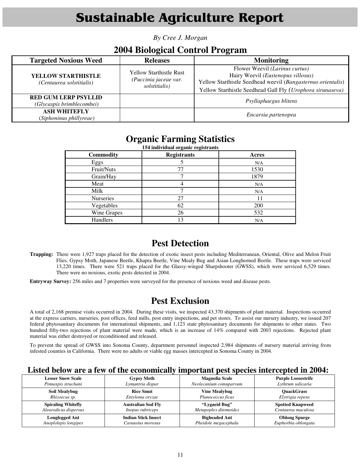### Sustainable Agriculture Report

*By Cree J. Morgan* 

#### **2004 Biological Control Program**

| <b>Targeted Noxious Weed</b>                             | <b>Releases</b>                                                          | <b>Monitoring</b>                                                                                                                                                                                  |
|----------------------------------------------------------|--------------------------------------------------------------------------|----------------------------------------------------------------------------------------------------------------------------------------------------------------------------------------------------|
| <b>YELLOW STARTHISTLE</b><br>(Centaurea solstitialis)    | <b>Yellow Starthistle Rust</b><br>(Puccinia jaceae var.<br>solstitialis) | Flower Weevil (Larinus curtus)<br>Hairy Weevil (Eustenopus villosus)<br>Yellow Starthistle Seedhead weevil (Bangasternus orientalis)<br>Yellow Starthistle Seedhead Gall Fly (Urophora sirunaseva) |
| <b>RED GUM LERP PSYLLID</b><br>(Glycaspis brimblecombei) |                                                                          | Psyllaphaegus blitens                                                                                                                                                                              |
| <b>ASH WHITEFLY</b><br>(Siphoninus phillyreae)           |                                                                          | Encarsia partenopea                                                                                                                                                                                |

#### **Organic Farming Statistics**

| 154 individual organic registrants |                    |            |  |  |
|------------------------------------|--------------------|------------|--|--|
| <b>Commodity</b>                   | <b>Registrants</b> | Acres      |  |  |
| Eggs                               |                    | N/A        |  |  |
| Fruit/Nuts                         | 77                 | 1530       |  |  |
| Grain/Hay                          |                    | 1879       |  |  |
| Meat                               |                    | N/A        |  |  |
| Milk                               |                    | N/A        |  |  |
| Nurseries                          | 27                 |            |  |  |
| Vegetables                         | 62                 | <b>200</b> |  |  |
| Wine Grapes                        | 26                 | 532        |  |  |
| Handlers                           | 13                 | N/A        |  |  |

#### **Pest Detection**

**Trapping:** There were 1,927 traps placed for the detection of exotic insect pests including Mediterranean, Oriental, Olive and Melon Fruit Flies, Gypsy Moth, Japanese Beetle, Khapra Beetle, Vine Mealy Bug and Asian Longhorned Beetle. These traps were serviced 13,220 times. There were 521 traps placed for the Glassy-winged Sharpshooter (GWSS), which were serviced 6,529 times. There were no noxious, exotic pests detected in 2004.

**Entryway Survey:** 256 miles and 7 properties were surveyed for the presence of noxious weed and disease pests.

#### **Pest Exclusion**

A total of 2,168 premise visits occurred in 2004. During these visits, we inspected 43,370 shipments of plant material. Inspections occurred at the express carriers, nurseries, post offices, feed mills, post entry inspections, and pet stores. To assist our nursery industry, we issued 207 federal phytosanitary documents for international shipments, and 1,123 state phytosanitary documents for shipments to other states. Two hundred fifty-two rejections of plant material were made, which is an increase of 14% compared with 2003 rejections. Rejected plant material was either destroyed or reconditioned and released.

To prevent the spread of GWSS into Sonoma County, department personnel inspected 2,984 shipments of nursery material arriving from infested counties in California. There were no adults or viable egg masses intercepted in Sonoma County in 2004.

#### **Listed below are a few of the economically important pest species intercepted in 2004:**

| <b>Lesser Snow Scale</b>  | <b>Gypsy Moth</b>          | <b>Magnolia Scale</b>  | <b>Purple Loosestrife</b> |
|---------------------------|----------------------------|------------------------|---------------------------|
| Pinnaspis strachani       | Lymantria dispar           | Neolecanium comuparvum | Lythrum salicaria         |
| <b>Soil Mealybug</b>      | <b>Rice Smut</b>           | <b>Vine Mealybug</b>   | <b>OuackGrass</b>         |
| Rhizoecus sp.             | Entyloma oryzae            | Planococcus ficus      | Elytrigia repens          |
| <b>Spiraling Whitefly</b> | <b>Australian Sod Flv</b>  | "Lygaeid Bug"          | <b>Spotted Knapweed</b>   |
| Aleurodicus dispersus     | <i>Inopus rubriceps</i>    | Metapoplex ditomoides  | Centaurea maculosa        |
| <b>Longlegged Ant</b>     | <b>Indian Stick Insect</b> | <b>Bigheaded Ant</b>   | <b>Oblong Spurge</b>      |
| Anoplolepis longipes      | Carausius morosus          | Pheidole megacephala   | Euphorbia oblongata       |